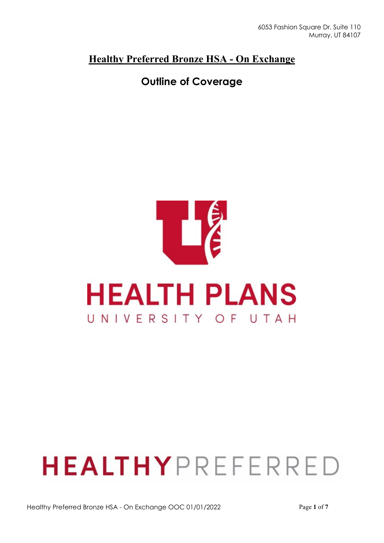### **Healthy Preferred Bronze HSA - On Exchange**

## **Outline of Coverage**



# **HEALTHY**PREFERRED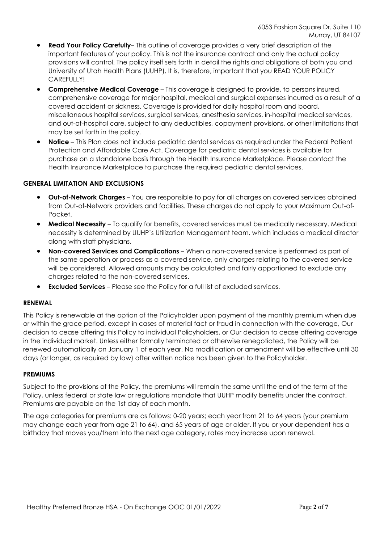- **Read Your Policy Carefully** This outline of coverage provides a very brief description of the important features of your policy. This is not the insurance contract and only the actual policy provisions will control. The policy itself sets forth in detail the rights and obligations of both you and University of Utah Health Plans (UUHP). It is, therefore, important that you READ YOUR POLICY CAREFULLY!
- **Comprehensive Medical Coverage**  This coverage is designed to provide, to persons insured, comprehensive coverage for major hospital, medical and surgical expenses incurred as a result of a covered accident or sickness. Coverage is provided for daily hospital room and board, miscellaneous hospital services, surgical services, anesthesia services, in-hospital medical services, and out-of-hospital care, subject to any deductibles, copayment provisions, or other limitations that may be set forth in the policy.
- **Notice**  This Plan does not include pediatric dental services as required under the Federal Patient Protection and Affordable Care Act. Coverage for pediatric dental services is available for purchase on a standalone basis through the Health Insurance Marketplace. Please contact the Health Insurance Marketplace to purchase the required pediatric dental services.

#### **GENERAL LIMITATION AND EXCLUSIONS**

- **Out-of-Network Charges**  You are responsible to pay for all charges on covered services obtained from Out-of-Network providers and facilities. These charges do not apply to your Maximum Out-of-Pocket.
- **Medical Necessity**  To qualify for benefits, covered services must be medically necessary. Medical necessity is determined by UUHP's Utilization Management team, which includes a medical director along with staff physicians.
- **Non-covered Services and Complications**  When a non-covered service is performed as part of the same operation or process as a covered service, only charges relating to the covered service will be considered. Allowed amounts may be calculated and fairly apportioned to exclude any charges related to the non-covered services.
- **Excluded Services**  Please see the Policy for a full list of excluded services.

#### **RENEWAL**

This Policy is renewable at the option of the Policyholder upon payment of the monthly premium when due or within the grace period, except in cases of material fact or fraud in connection with the coverage, Our decision to cease offering this Policy to individual Policyholders, or Our decision to cease offering coverage in the individual market. Unless either formally terminated or otherwise renegotiated, the Policy will be renewed automatically on January 1 of each year. No modification or amendment will be effective until 30 days (or longer, as required by law) after written notice has been given to the Policyholder.

#### **PREMIUMS**

Subject to the provisions of the Policy, the premiums will remain the same until the end of the term of the Policy, unless federal or state law or regulations mandate that UUHP modify benefits under the contract. Premiums are payable on the 1st day of each month.

The age categories for premiums are as follows: 0-20 years; each year from 21 to 64 years (your premium may change each year from age 21 to 64), and 65 years of age or older. If you or your dependent has a birthday that moves you/them into the next age category, rates may increase upon renewal.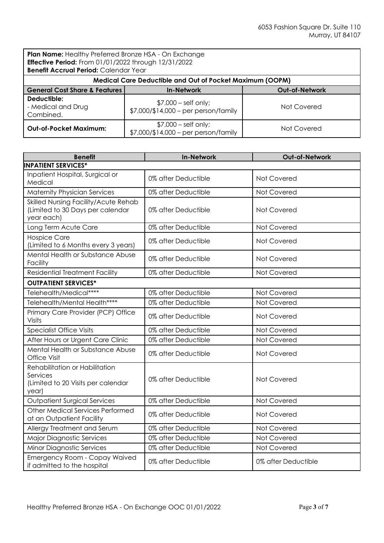**Plan Name:** Healthy Preferred Bronze HSA - On Exchange **Effective Period:** From 01/01/2022 through 12/31/2022 **Benefit Accrual Period:** Calendar Year

| <b>Benefif Accrual Period:</b> Calendar Year                    |                                                                 |                       |  |
|-----------------------------------------------------------------|-----------------------------------------------------------------|-----------------------|--|
| <b>Medical Care Deductible and Out of Pocket Maximum (OOPM)</b> |                                                                 |                       |  |
| <b>General Cost Share &amp; Features</b>                        | <b>In-Network</b>                                               | <b>Out-of-Network</b> |  |
| Deductible:<br>- Medical and Drug<br>Combined.                  | $$7,000$ – self only;<br>$$7,000$ /\$14,000 – per person/family | Not Covered           |  |
| Out-of-Pocket Maximum:                                          | $$7,000$ – self only;<br>$$7,000$ /\$14,000 – per person/family | Not Covered           |  |

| <b>Benefit</b>                                                                            | <b>In-Network</b>   | Out-of-Network      |
|-------------------------------------------------------------------------------------------|---------------------|---------------------|
| <b>INPATIENT SERVICES*</b>                                                                |                     |                     |
| Inpatient Hospital, Surgical or<br>Medical                                                | 0% after Deductible | Not Covered         |
| <b>Maternity Physician Services</b>                                                       | 0% after Deductible | Not Covered         |
| Skilled Nursing Facility/Acute Rehab<br>(Limited to 30 Days per calendar<br>year each)    | 0% after Deductible | Not Covered         |
| Long Term Acute Care                                                                      | 0% after Deductible | Not Covered         |
| <b>Hospice Care</b><br>(Limited to 6 Months every 3 years)                                | 0% after Deductible | Not Covered         |
| Mental Health or Substance Abuse<br>Facility                                              | 0% after Deductible | Not Covered         |
| <b>Residential Treatment Facility</b>                                                     | 0% after Deductible | Not Covered         |
| <b>OUTPATIENT SERVICES*</b>                                                               |                     |                     |
| Telehealth/Medical****                                                                    | 0% after Deductible | Not Covered         |
| Telehealth/Mental Health****                                                              | 0% after Deductible | Not Covered         |
| Primary Care Provider (PCP) Office<br>Visits                                              | 0% after Deductible | Not Covered         |
| <b>Specialist Office Visits</b>                                                           | 0% after Deductible | Not Covered         |
| After Hours or Urgent Care Clinic                                                         | 0% after Deductible | Not Covered         |
| Mental Health or Substance Abuse<br>Office Visit                                          | 0% after Deductible | Not Covered         |
| Rehabilitation or Habilitation<br>Services<br>(Limited to 20 Visits per calendar<br>year) | 0% after Deductible | Not Covered         |
| <b>Outpatient Surgical Services</b>                                                       | 0% after Deductible | Not Covered         |
| <b>Other Medical Services Performed</b><br>at an Outpatient Facility                      | 0% after Deductible | Not Covered         |
| Allergy Treatment and Serum                                                               | 0% after Deductible | Not Covered         |
| <b>Major Diagnostic Services</b>                                                          | 0% after Deductible | Not Covered         |
| <b>Minor Diagnostic Services</b>                                                          | 0% after Deductible | Not Covered         |
| Emergency Room - Copay Waived<br>if admitted to the hospital                              | 0% after Deductible | 0% after Deductible |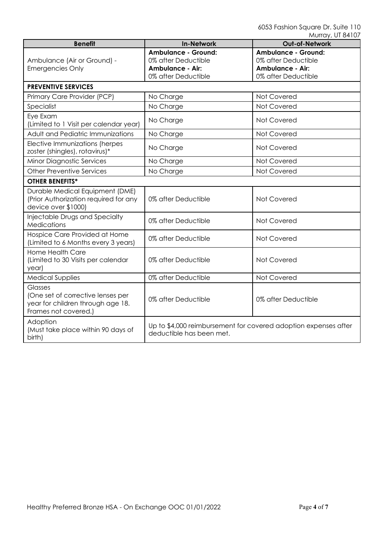|                                                                                                                  |                                                                                                     | IVUUUV, UUVUV                                                                                       |
|------------------------------------------------------------------------------------------------------------------|-----------------------------------------------------------------------------------------------------|-----------------------------------------------------------------------------------------------------|
| <b>Benefit</b>                                                                                                   | <b>In-Network</b>                                                                                   | Out-of-Network                                                                                      |
| Ambulance (Air or Ground) -<br><b>Emergencies Only</b>                                                           | <b>Ambulance - Ground:</b><br>0% after Deductible<br><b>Ambulance - Air:</b><br>0% after Deductible | <b>Ambulance - Ground:</b><br>0% after Deductible<br><b>Ambulance - Air:</b><br>0% after Deductible |
| <b>PREVENTIVE SERVICES</b>                                                                                       |                                                                                                     |                                                                                                     |
| Primary Care Provider (PCP)                                                                                      | No Charge                                                                                           | Not Covered                                                                                         |
| Specialist                                                                                                       | No Charge                                                                                           | Not Covered                                                                                         |
| Eye Exam<br>(Limited to 1 Visit per calendar year)                                                               | No Charge                                                                                           | Not Covered                                                                                         |
| Adult and Pediatric Immunizations                                                                                | No Charge                                                                                           | Not Covered                                                                                         |
| Elective Immunizations (herpes<br>zoster (shingles), rotavirus)*                                                 | No Charge                                                                                           | Not Covered                                                                                         |
| <b>Minor Diagnostic Services</b>                                                                                 | No Charge                                                                                           | Not Covered                                                                                         |
| <b>Other Preventive Services</b>                                                                                 | No Charge                                                                                           | Not Covered                                                                                         |
| <b>OTHER BENEFITS*</b>                                                                                           |                                                                                                     |                                                                                                     |
| Durable Medical Equipment (DME)<br>(Prior Authorization required for any<br>device over \$1000)                  | 0% after Deductible                                                                                 | Not Covered                                                                                         |
| Injectable Drugs and Specialty<br><b>Medications</b>                                                             | 0% after Deductible                                                                                 | Not Covered                                                                                         |
| Hospice Care Provided at Home<br>(Limited to 6 Months every 3 years)                                             | 0% after Deductible                                                                                 | Not Covered                                                                                         |
| <b>Home Health Care</b><br>(Limited to 30 Visits per calendar<br>year)                                           | 0% after Deductible                                                                                 | Not Covered                                                                                         |
| <b>Medical Supplies</b>                                                                                          | 0% after Deductible                                                                                 | Not Covered                                                                                         |
| <b>Glasses</b><br>(One set of corrective lenses per<br>year for children through age 18.<br>Frames not covered.) | 0% after Deductible                                                                                 | 0% after Deductible                                                                                 |
| Adoption<br>(Must take place within 90 days of<br>birth)                                                         | Up to \$4,000 reimbursement for covered adoption expenses after<br>deductible has been met.         |                                                                                                     |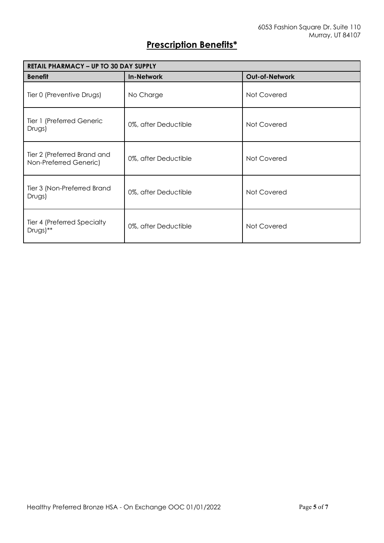## **Prescription Benefits\***

| <b>RETAIL PHARMACY - UP TO 30 DAY SUPPLY</b>          |                      |                |
|-------------------------------------------------------|----------------------|----------------|
| <b>Benefit</b>                                        | <b>In-Network</b>    | Out-of-Network |
| Tier 0 (Preventive Drugs)                             | No Charge            | Not Covered    |
| Tier 1 (Preferred Generic<br>Drugs)                   | 0%, after Deductible | Not Covered    |
| Tier 2 (Preferred Brand and<br>Non-Preferred Generic) | 0%, after Deductible | Not Covered    |
| Tier 3 (Non-Preferred Brand<br>Drugs)                 | 0%, after Deductible | Not Covered    |
| Tier 4 (Preferred Specialty<br>$Drugs)$ **            | 0%, after Deductible | Not Covered    |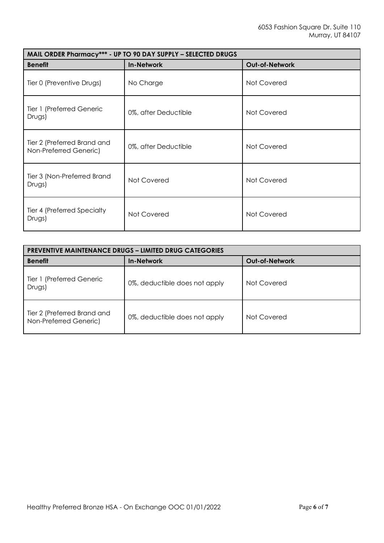| MAIL ORDER Pharmacy*** - UP TO 90 DAY SUPPLY - SELECTED DRUGS |                      |                |
|---------------------------------------------------------------|----------------------|----------------|
| <b>Benefit</b>                                                | <b>In-Network</b>    | Out-of-Network |
| Tier 0 (Preventive Drugs)                                     | No Charge            | Not Covered    |
| Tier 1 (Preferred Generic<br>Drugs)                           | 0%, after Deductible | Not Covered    |
| Tier 2 (Preferred Brand and<br>Non-Preferred Generic)         | 0%, after Deductible | Not Covered    |
| Tier 3 (Non-Preferred Brand<br>Drugs)                         | Not Covered          | Not Covered    |
| Tier 4 (Preferred Specialty<br>Drugs)                         | Not Covered          | Not Covered    |

| <b>PREVENTIVE MAINTENANCE DRUGS - LIMITED DRUG CATEGORIES</b> |                               |                       |
|---------------------------------------------------------------|-------------------------------|-----------------------|
| <b>Benefit</b>                                                | <b>In-Network</b>             | <b>Out-of-Network</b> |
| Tier 1 (Preferred Generic<br>Drugs)                           | 0%, deductible does not apply | Not Covered           |
| Tier 2 (Preferred Brand and<br>Non-Preferred Generic)         | 0%, deductible does not apply | Not Covered           |